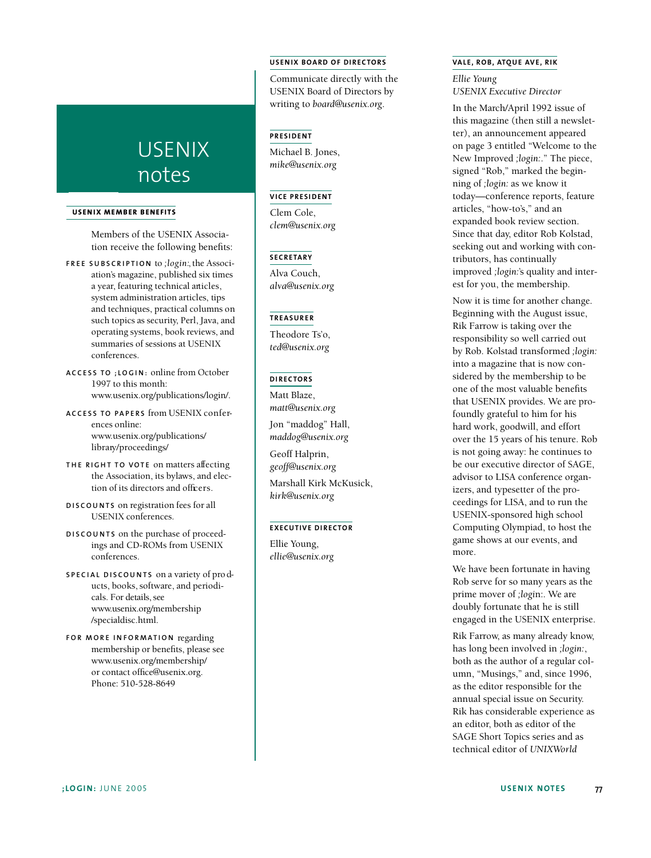# USENIX notes

## **U S E NIX MEMBER BE NE F ITS**

Members of the USENIX Association receive the following benefits:

- **F R E E S U B S C R I P T I O N** to *; l o g i n :*,the Association's magazine, published six times a year, featuring technical articles, system administration articles, tips and techniques, practical columns on such topics as security, Perl, Java, and operating systems, book reviews, and summaries of sessions at USENIX conferences.
- **A C C E S S TO ; L O G I N :** online from October 1997 to this month: www.usenix.org/publications/login/.
- **A C C E S S TO PA P E R S** f rom USENIX c o n f e rences online: www.usenix.org/publications/ library/proceedings/
- **THE RIGHT TO VOTE** on matters affecting the Association, its bylaws, and election of its directors and officers.
- **D I S C O U N T S** on registration fees for all USENIX conferences.
- **D I S C O U N T S** on the purchase of proceedings and CD-ROMs from USENIX conferences.
- **S P E C I A L D I S C O U N T S** on a variety of pro ducts, books, software, and periodicals. For details, see www.usenix.org/membership /specialdisc.html.
- **FOR MORE INFORMATION** regarding membership or benefits, please see www.usenix.org/membership/ or contact office@usenix.org. Phone: 510-528-8649

### **U S E NIX BOA RD OF DIRE CTO RS**

Communicate directly with the USENIX Board of Directors by writing to *board@usenix.org*.

# **PRESIDENT**

Michael B. Jones, *mike@usenix.org*

# **VI CE PRE S ID E NT**

Clem Cole, *clem@usenix.org*

# **SECRETARY**

Alva Couch, *alva@usenix.org*

### **TREAS UR E R**

Theodore Ts'o, *ted@usenix.org*

### **DIRECTORS**

Matt Blaze, *matt@usenix.org*

Jon "maddog" Hall, *maddog@usenix.org*

Geoff Halprin, *geoff@usenix.org*

Marshall Kirk McKusick, *kirk@usenix.org*

# **EXECUTIVE DIRECTOR**

Ellie Young, *ellie@usenix.org*

## **VA L E , RO B, ATQ UE AVE , RIK**

*Ellie Young USENIX Executive Director*

In the March/April 1992 issue of this magazine (then still a newsletter), an announcement appeared on page 3 entitled "Welcome to the New Improved *;login:*." The piece, signed "Rob," marked the beginning of *;login:* as we know it today—conference reports, feature articles, "how-to's," and an expanded book review section. Since that day, editor Rob Kolstad, seeking out and working with contributors, has continually improved *;login:*'s quality and interest for you, the membership.

Now it is time for another change. Beginning with the August issue, Rik Farrow is taking over the responsibility so well carried out by Rob. Kolstad transformed *;login:* into a magazine that is now considered by the membership to be one of the most valuable benefits that USENIX provides. We are profoundly grateful to him for his hard work, goodwill, and effort over the 15 years of his tenure. Rob is not going away: he continues to be our executive director of SAGE, advisor to LISA conference organizers, and typesetter of the proceedings for LISA, and to run the USENIX-sponsored high school Computing Olympiad, to host the game shows at our events, and more.

We have been fortunate in having Rob serve for so many years as the prime mover of *;logi*n:. We are doubly fortunate that he is still engaged in the USENIX enterprise.

Rik Farrow, as many already know, has long been involved in *;login:*, both as the author of a regular column, "Musings," and, since 1996, as the editor responsible for the annual special issue on Security. Rik has considerable experience as an editor, both as editor of the SAGE Short Topics series and as technical editor of *UNIXWorld*